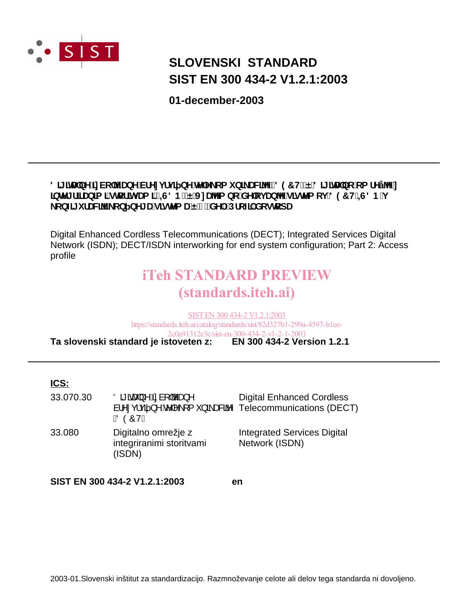

### **SIST EN 300 434-2 V1.2.1:2003 SLOVENSKI STANDARD**

**01-december-2003**

#### 8][]HJbY]nVc`Y<sub>J</sub>UbY'VfYnjfj] bY'HYY ca i b] UV[YTfB97HL'Ë'8][]HJbc'ca fYÿ'Y'n **JbhY[f]fUb]a ]`ghcf]hj Ua ]`fl=G8BLEJnUYa bc`XYcj UbYjg]ghYa cj `897H#=G8B`j** \_cb**z**[ifUV]Y\_cb\_bY[Ug]ghYaUE&"XY.Dfcz]`XcglcdU

Digital Enhanced Cordless Telecommunications (DECT); Integrated Services Digital Network (ISDN); DECT/ISDN interworking for end system configuration; Part 2: Access profile

## iTeh STANDARD PREVIEW (standards.iteh.ai)

**Ta slovenski standard je istoveten z: EN 300 434-2 Version 1.2.1** SIST EN 300 434-2 V1.2.1:2003 https://standards.iteh.ai/catalog/standards/sist/82d327b1-299a-4597-b1ee-2c0a91312e3c/sist-en-300-434-2-v1-2-1-2003

#### **ICS:**

| 33.070.30 | $\ddot{\text{O}}$ đi átza} $\wedge$ Ási à[ bzza} $\wedge$<br>à <sup>1</sup> <sup>1</sup> : ç¦çã } ^ k   ^ \[{ *} ã a&k Telecommunications (DECT)<br><b>ÖÒÔVD</b> | <b>Digital Enhanced Cordless</b>                     |
|-----------|------------------------------------------------------------------------------------------------------------------------------------------------------------------|------------------------------------------------------|
| 33.080    | Digitalno omrežje z<br>integriranimi storitvami<br>(ISDN)                                                                                                        | <b>Integrated Services Digital</b><br>Network (ISDN) |

**SIST EN 300 434-2 V1.2.1:2003 en**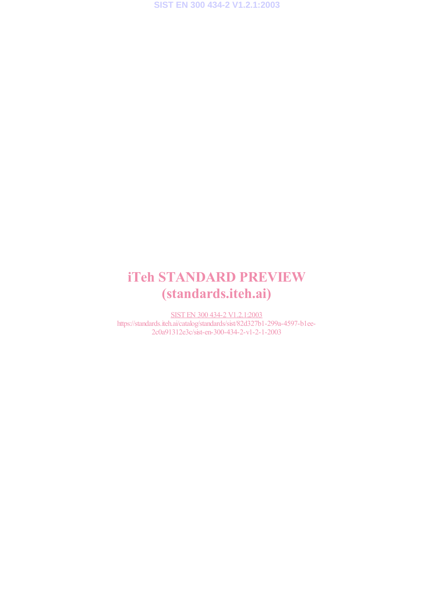### iTeh STANDARD PREVIEW (standards.iteh.ai)

SIST EN 300 434-2 V1.2.1:2003 https://standards.iteh.ai/catalog/standards/sist/82d327b1-299a-4597-b1ee-2c0a91312e3c/sist-en-300-434-2-v1-2-1-2003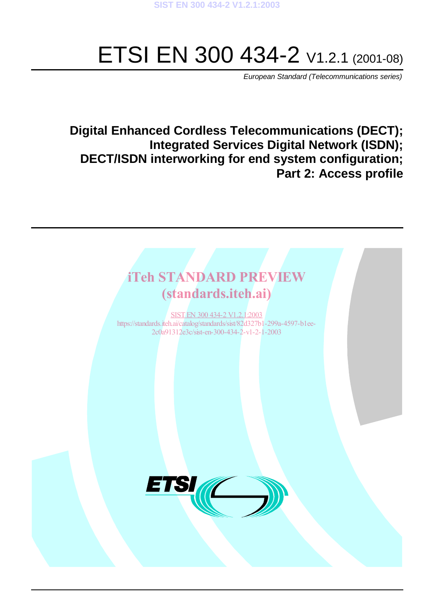# ETSI EN 300 434-2  $V1.2.1 (2001-08)$

European Standard (Telecommunications series)

### **Digital Enhanced Cordless Telecommunications (DECT); Integrated Services Digital Network (ISDN); DECT/ISDN interworking for end system configuration; Part 2: Access profile**

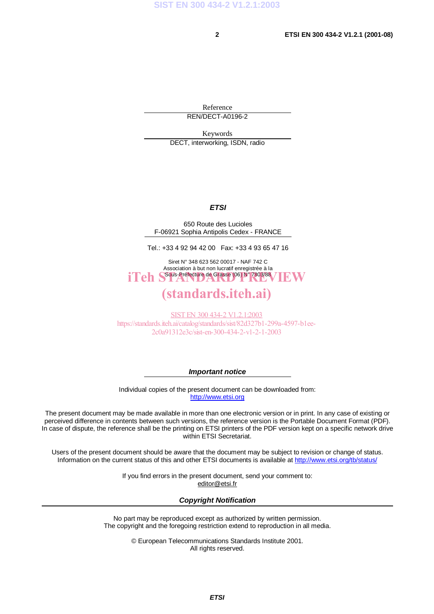Reference REN/DECT-A0196-2

Keywords DECT, interworking, ISDN, radio

#### **ETSI**

650 Route des Lucioles F-06921 Sophia Antipolis Cedex - FRANCE

Tel.: +33 4 92 94 42 00 Fax: +33 4 93 65 47 16

Siret N° 348 623 562 00017 - NAF 742 C Association à but non lucratif enregistrée à la iTeh SSous-Préfecture de Grasse (06) N° 7803/88 / IEW

#### (standards.iteh.ai)

SIST EN 300 434-2 V1.2.1:2003 https://standards.iteh.ai/catalog/standards/sist/82d327b1-299a-4597-b1ee-2c0a91312e3c/sist-en-300-434-2-v1-2-1-2003

**Important notice**

Individual copies of the present document can be downloaded from: http://www.etsi.org

The present document may be made available in more than one electronic version or in print. In any case of existing or perceived difference in contents between such versions, the reference version is the Portable Document Format (PDF). In case of dispute, the reference shall be the printing on ETSI printers of the PDF version kept on a specific network drive within ETSI Secretariat.

Users of the present document should be aware that the document may be subject to revision or change of status. Information on the current status of this and other ETSI documents is available at http://www.etsi.org/tb/status/

> If you find errors in the present document, send your comment to: editor@etsi.fr

#### **Copyright Notification**

No part may be reproduced except as authorized by written permission. The copyright and the foregoing restriction extend to reproduction in all media.

> © European Telecommunications Standards Institute 2001. All rights reserved.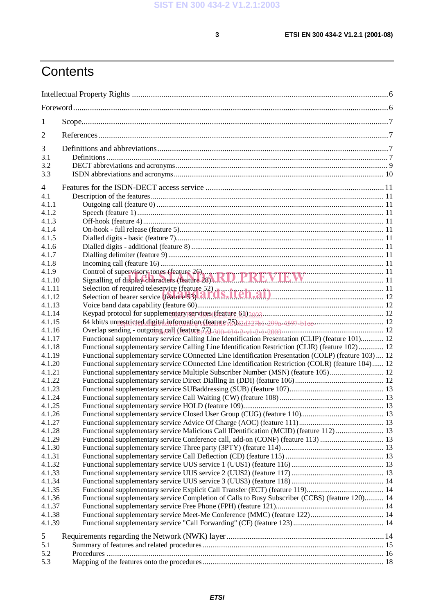## **Contents**

| 1                |                                                                                                                                                                                                            |  |  |
|------------------|------------------------------------------------------------------------------------------------------------------------------------------------------------------------------------------------------------|--|--|
| 2                |                                                                                                                                                                                                            |  |  |
| 3                |                                                                                                                                                                                                            |  |  |
| 3.1              |                                                                                                                                                                                                            |  |  |
| 3.2              |                                                                                                                                                                                                            |  |  |
| 3.3              |                                                                                                                                                                                                            |  |  |
| 4                |                                                                                                                                                                                                            |  |  |
| 4.1              |                                                                                                                                                                                                            |  |  |
| 4.1.1            |                                                                                                                                                                                                            |  |  |
| 4.1.2            |                                                                                                                                                                                                            |  |  |
| 4.1.3            |                                                                                                                                                                                                            |  |  |
| 4.1.4            |                                                                                                                                                                                                            |  |  |
| 4.1.5            |                                                                                                                                                                                                            |  |  |
| 4.1.6            |                                                                                                                                                                                                            |  |  |
| 4.1.7            |                                                                                                                                                                                                            |  |  |
| 4.1.8            |                                                                                                                                                                                                            |  |  |
| 4.1.9            | Control of supervisory tones (feature 26)<br>Signalling of display characters (feature 28) RD PREVIEW                                                                                                      |  |  |
| 4.1.10           |                                                                                                                                                                                                            |  |  |
| 4.1.11           | Selection of required teleservice (feature 52)<br>Selection of bearer service (feature 53).<br><b>All O.S. ITCH.A1</b>                                                                                     |  |  |
| 4.1.12           |                                                                                                                                                                                                            |  |  |
| 4.1.13           |                                                                                                                                                                                                            |  |  |
| 4.1.14           |                                                                                                                                                                                                            |  |  |
| 4.1.15           |                                                                                                                                                                                                            |  |  |
| 4.1.16           |                                                                                                                                                                                                            |  |  |
| 4.1.17           | Functional supplementary service Calling Line Identification Presentation (CLIP) (feature 101) 12                                                                                                          |  |  |
| 4.1.18<br>4.1.19 | Functional supplementary service Calling Line Identification Restriction (CLIR) (feature 102)  12                                                                                                          |  |  |
| 4.1.20           | Functional supplementary service COnnected Line identification Presentation (COLP) (feature 103)  12<br>Functional supplementary service COnnected Line identification Restriction (COLR) (feature 104) 12 |  |  |
| 4.1.21           | Functional supplementary service Multiple Subscriber Number (MSN) (feature 105) 12                                                                                                                         |  |  |
| 4.1.22           |                                                                                                                                                                                                            |  |  |
| 4.1.23           |                                                                                                                                                                                                            |  |  |
| 4.1.24           |                                                                                                                                                                                                            |  |  |
| 4.1.25           |                                                                                                                                                                                                            |  |  |
| 4.1.26           |                                                                                                                                                                                                            |  |  |
| 4.1.27           |                                                                                                                                                                                                            |  |  |
| 4.1.28           | Functional supplementary service Malicious Call IDentification (MCID) (feature 112)  13                                                                                                                    |  |  |
| 4.1.29           | Functional supplementary service Conference call, add-on (CONF) (feature 113)  13                                                                                                                          |  |  |
| 4.1.30           |                                                                                                                                                                                                            |  |  |
| 4.1.31           |                                                                                                                                                                                                            |  |  |
| 4.1.32           |                                                                                                                                                                                                            |  |  |
| 4.1.33           |                                                                                                                                                                                                            |  |  |
| 4.1.34           |                                                                                                                                                                                                            |  |  |
| 4.1.35           |                                                                                                                                                                                                            |  |  |
| 4.1.36           | Functional supplementary service Completion of Calls to Busy Subscriber (CCBS) (feature 120) 14                                                                                                            |  |  |
| 4.1.37           |                                                                                                                                                                                                            |  |  |
| 4.1.38           |                                                                                                                                                                                                            |  |  |
| 4.1.39           |                                                                                                                                                                                                            |  |  |
| 5                |                                                                                                                                                                                                            |  |  |
| 5.1              |                                                                                                                                                                                                            |  |  |
| 5.2              |                                                                                                                                                                                                            |  |  |
| 5.3              |                                                                                                                                                                                                            |  |  |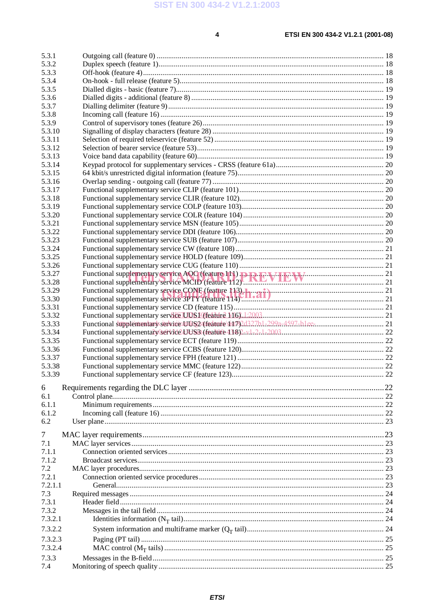$\overline{\mathbf{4}}$ 

#### ETSI EN 300 434-2 V1.2.1 (2001-08)

| 5.3.1<br>5.3.2 |    |
|----------------|----|
| 5.3.3          |    |
| 5.3.4          |    |
| 5.3.5          |    |
| 5.3.6          |    |
| 5.3.7          |    |
| 5.3.8          |    |
| 5.3.9          |    |
| 5.3.10         |    |
| 5.3.11         |    |
| 5.3.12         |    |
| 5.3.13         |    |
| 5.3.14         |    |
| 5.3.15         |    |
| 5.3.16         |    |
| 5.3.17         |    |
| 5.3.18         |    |
| 5.3.19         |    |
| 5.3.20         |    |
| 5.3.21         |    |
| 5.3.22         |    |
| 5.3.23         |    |
| 5.3.24         |    |
| 5.3.25         |    |
| 5.3.26         |    |
| 5.3.27         |    |
| 5.3.28         |    |
| 5.3.29         |    |
| 5.3.30         |    |
| 5.3.31         |    |
| 5.3.32         |    |
| 5.3.33         |    |
| 5.3.34         |    |
| 5.3.35         |    |
| 5.3.36         |    |
| 5.3.37         |    |
| 5.3.38         |    |
| 5.3.39         | 22 |
| 6              |    |
| 6.1            |    |
| 6.1.1          |    |
| 6.1.2          |    |
| 6.2            |    |
| $\tau$         |    |
| 7.1            |    |
| 7.1.1          |    |
| 7.1.2          |    |
| 7.2            |    |
| 7.2.1          |    |
| 7.2.1.1        |    |
| 7.3            |    |
| 7.3.1          |    |
| 7.3.2          |    |
| 7.3.2.1        |    |
|                |    |
| 7.3.2.2        |    |
| 7.3.2.3        |    |
| 7.3.2.4        |    |
| 7.3.3          |    |
| 7.4            |    |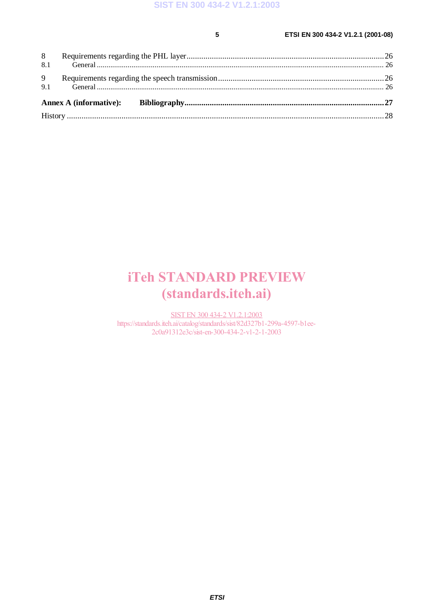#### **5 ETSI EN 300 434-2 V1.2.1 (2001-08)**

### iTeh STANDARD PREVIEW (standards.iteh.ai)

SIST EN 300 434-2 V1.2.1:2003 https://standards.iteh.ai/catalog/standards/sist/82d327b1-299a-4597-b1ee-2c0a91312e3c/sist-en-300-434-2-v1-2-1-2003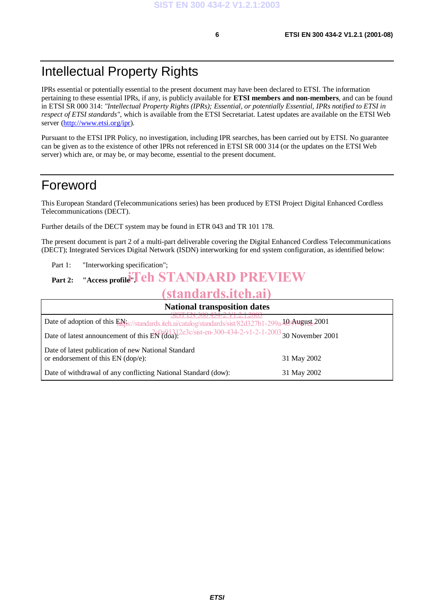### Intellectual Property Rights

IPRs essential or potentially essential to the present document may have been declared to ETSI. The information pertaining to these essential IPRs, if any, is publicly available for **ETSI members and non-members**, and can be found in ETSI SR 000 314: *"Intellectual Property Rights (IPRs); Essential, or potentially Essential, IPRs notified to ETSI in respect of ETSI standards"*, which is available from the ETSI Secretariat. Latest updates are available on the ETSI Web server (http://www.etsi.org/ipr).

Pursuant to the ETSI IPR Policy, no investigation, including IPR searches, has been carried out by ETSI. No guarantee can be given as to the existence of other IPRs not referenced in ETSI SR 000 314 (or the updates on the ETSI Web server) which are, or may be, or may become, essential to the present document.

### Foreword

This European Standard (Telecommunications series) has been produced by ETSI Project Digital Enhanced Cordless Telecommunications (DECT).

Further details of the DECT system may be found in ETR 043 and TR 101 178.

The present document is part 2 of a multi-part deliverable covering the Digital Enhanced Cordless Telecommunications (DECT); Integrated Services Digital Network (ISDN) interworking for end system configuration, as identified below:

Part 1: "Interworking specification";

### Part 2: "Access profile"**Teh STANDARD PREVIEW**

### (standards.iteh.ai)

| <b>National transposition dates</b>                                                                                                              |             |
|--------------------------------------------------------------------------------------------------------------------------------------------------|-------------|
| EIN 300 434-Z VI.Z.I.Z003<br>Date of adoption of this EN <sub>25</sub> ://standards.iteh.ai/catalog/standards/sist/82d327b1-299a.103/hypy18t2001 |             |
| Date of latest announcement of this $\frac{26001312e3c}{s}$ : en-300-434-2-v1-2-1-2003 30 November 2001                                          |             |
| Date of latest publication of new National Standard<br>or endorsement of this $EN$ (dop/e):                                                      | 31 May 2002 |
| Date of withdrawal of any conflicting National Standard (dow):                                                                                   | 31 May 2002 |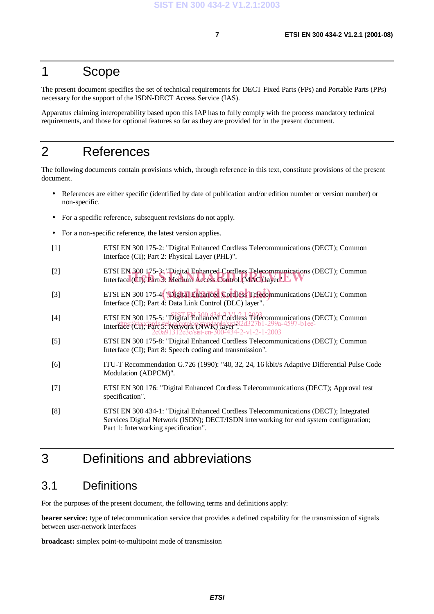#### 1 Scope

The present document specifies the set of technical requirements for DECT Fixed Parts (FPs) and Portable Parts (PPs) necessary for the support of the ISDN-DECT Access Service (IAS).

Apparatus claiming interoperability based upon this IAP has to fully comply with the process mandatory technical requirements, and those for optional features so far as they are provided for in the present document.

#### 2 References

The following documents contain provisions which, through reference in this text, constitute provisions of the present document.

- References are either specific (identified by date of publication and/or edition number or version number) or non-specific.
- For a specific reference, subsequent revisions do not apply.
- For a non-specific reference, the latest version applies.
- [1] ETSI EN 300 175-2: "Digital Enhanced Cordless Telecommunications (DECT); Common Interface (CI); Part 2: Physical Layer (PHL)".
- [2] ETSI EN 300 175-3: "Digital Enhanced Cordless Telecommunications (DECT); Common ETSI EN 300 1/5-3: "Digital Enhanced Cordiess Telecommunications (<br>Interface (CI); Part 3: Medium Access Control (MAC) layer". L
- [3] ETSI EN 300 175-4: Digital Enhanced Cordless Telecommunications (DECT); Common Interface (CI); Part 4: Data Link Control (DLC) layer".
- [4] ETSI EN 300 175-5: "Digital Enhanced Cordless Telecommunications (DECT); Common Interface (CI); Part 5: Network (NWK) layer". https://standards.iteh.ai/catalog/standards/sist/82d327b1-299a-4597-b1ee-2c0a91312e3c/sist-en-300-434-2-v1-2-1-2003
- [5] ETSI EN 300 175-8: "Digital Enhanced Cordless Telecommunications (DECT); Common Interface (CI); Part 8: Speech coding and transmission".
- [6] ITU-T Recommendation G.726 (1990): "40, 32, 24, 16 kbit/s Adaptive Differential Pulse Code Modulation (ADPCM)".
- [7] ETSI EN 300 176: "Digital Enhanced Cordless Telecommunications (DECT); Approval test specification".
- [8] ETSI EN 300 434-1: "Digital Enhanced Cordless Telecommunications (DECT); Integrated Services Digital Network (ISDN); DECT/ISDN interworking for end system configuration; Part 1: Interworking specification".

### 3 Definitions and abbreviations

#### 3.1 Definitions

For the purposes of the present document, the following terms and definitions apply:

**bearer service:** type of telecommunication service that provides a defined capability for the transmission of signals between user-network interfaces

**broadcast:** simplex point-to-multipoint mode of transmission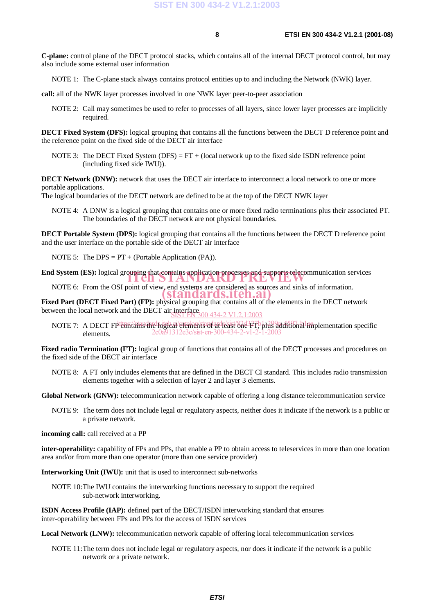**C-plane:** control plane of the DECT protocol stacks, which contains all of the internal DECT protocol control, but may also include some external user information

NOTE 1: The C-plane stack always contains protocol entities up to and including the Network (NWK) layer.

**call:** all of the NWK layer processes involved in one NWK layer peer-to-peer association

NOTE 2: Call may sometimes be used to refer to processes of all layers, since lower layer processes are implicitly required.

**DECT Fixed System (DFS):** logical grouping that contains all the functions between the DECT D reference point and the reference point on the fixed side of the DECT air interface

NOTE 3: The DECT Fixed System  $(DFS) = FT + (local network up to the fixed side ISDN reference point)$ (including fixed side IWU)).

**DECT Network (DNW):** network that uses the DECT air interface to interconnect a local network to one or more portable applications.

The logical boundaries of the DECT network are defined to be at the top of the DECT NWK layer

NOTE 4: A DNW is a logical grouping that contains one or more fixed radio terminations plus their associated PT. The boundaries of the DECT network are not physical boundaries.

**DECT Portable System (DPS):** logical grouping that contains all the functions between the DECT D reference point and the user interface on the portable side of the DECT air interface

NOTE 5: The DPS =  $PT + (Portable Application (PA)).$ 

**End System (ES):** logical grouping that contains application processes and supports telecommunication services

NOTE 6: From the OSI point of view, end systems are considered as sources and sinks of information. (standards.iteh.ai)

**Fixed Part (DECT Fixed Part) (FP):** physical grouping that contains all of the elements in the DECT network between the local network and the DECT air interface,  $\frac{\text{SISI EN 300 434-2 V1.2.1:2003}}{\text{SISI EN 300 434-2 V1.2.1:2003}}$ 

NOTE 7: A DECT FPtontains the hogieal elements of at least 82d3PT, blus additional implementation specific elements. 2c0a91312e3c/sist-en-300-434-2-v1-2-1-2003

**Fixed radio Termination (FT):** logical group of functions that contains all of the DECT processes and procedures on the fixed side of the DECT air interface

NOTE 8: A FT only includes elements that are defined in the DECT CI standard. This includes radio transmission elements together with a selection of layer 2 and layer 3 elements.

**Global Network (GNW):** telecommunication network capable of offering a long distance telecommunication service

NOTE 9: The term does not include legal or regulatory aspects, neither does it indicate if the network is a public or a private network.

**incoming call:** call received at a PP

**inter-operability:** capability of FPs and PPs, that enable a PP to obtain access to teleservices in more than one location area and/or from more than one operator (more than one service provider)

**Interworking Unit (IWU):** unit that is used to interconnect sub-networks

NOTE 10:The IWU contains the interworking functions necessary to support the required sub-network interworking.

**ISDN Access Profile (IAP):** defined part of the DECT/ISDN interworking standard that ensures inter-operability between FPs and PPs for the access of ISDN services

**Local Network (LNW):** telecommunication network capable of offering local telecommunication services

NOTE 11:The term does not include legal or regulatory aspects, nor does it indicate if the network is a public network or a private network.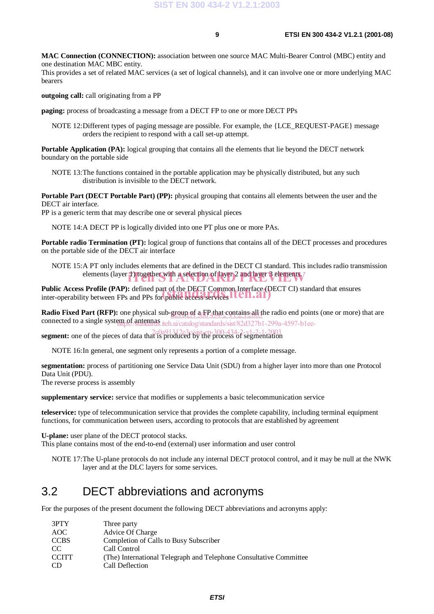**MAC Connection (CONNECTION):** association between one source MAC Multi-Bearer Control (MBC) entity and one destination MAC MBC entity.

This provides a set of related MAC services (a set of logical channels), and it can involve one or more underlying MAC bearers

**outgoing call:** call originating from a PP

**paging:** process of broadcasting a message from a DECT FP to one or more DECT PPs

NOTE 12:Different types of paging message are possible. For example, the {LCE\_REQUEST-PAGE} message orders the recipient to respond with a call set-up attempt.

**Portable Application (PA):** logical grouping that contains all the elements that lie beyond the DECT network boundary on the portable side

NOTE 13:The functions contained in the portable application may be physically distributed, but any such distribution is invisible to the DECT network.

**Portable Part (DECT Portable Part) (PP):** physical grouping that contains all elements between the user and the DECT air interface.

PP is a generic term that may describe one or several physical pieces

NOTE 14:A DECT PP is logically divided into one PT plus one or more PAs.

**Portable radio Termination (PT):** logical group of functions that contains all of the DECT processes and procedures on the portable side of the DECT air interface

NOTE 15:A PT only includes elements that are defined in the DECT CI standard. This includes radio transmission elements (layer 1) together with a selection of layer 2 and layer 3 elements.

**Public Access Profile (PAP):** defined part of the DECT Common Interface (DECT CI) standard that ensures Public Access Profile (PAP): defined part of the DECT Common Interface (Disputed inter-operability between FPs and PPs for public access services

Radio Fixed Part (RFP): one physical sub-group of a FP<sub>4</sub>that contains all the radio end points (one or more) that are connected to a single system of antennas iteh.ai/catalog/standards/sist/82d327b1-299a-4597-b1ee-

**segment:** one of the pieces of data that is produced by the process of segmentation

NOTE 16:In general, one segment only represents a portion of a complete message.

**segmentation:** process of partitioning one Service Data Unit (SDU) from a higher layer into more than one Protocol Data Unit (PDU).

The reverse process is assembly

**supplementary service:** service that modifies or supplements a basic telecommunication service

**teleservice:** type of telecommunication service that provides the complete capability, including terminal equipment functions, for communication between users, according to protocols that are established by agreement

**U-plane:** user plane of the DECT protocol stacks.

This plane contains most of the end-to-end (external) user information and user control

NOTE 17:The U-plane protocols do not include any internal DECT protocol control, and it may be null at the NWK layer and at the DLC layers for some services.

#### 3.2 DECT abbreviations and acronyms

For the purposes of the present document the following DECT abbreviations and acronyms apply:

| 3PTY<br>Three party                                                                |  |
|------------------------------------------------------------------------------------|--|
| Advice Of Charge<br>AOC                                                            |  |
| <b>CCBS</b><br>Completion of Calls to Busy Subscriber                              |  |
| Call Control<br>CC.                                                                |  |
| <b>CCITT</b><br>(The) International Telegraph and Telephone Consultative Committee |  |
| Call Deflection<br>CD.                                                             |  |